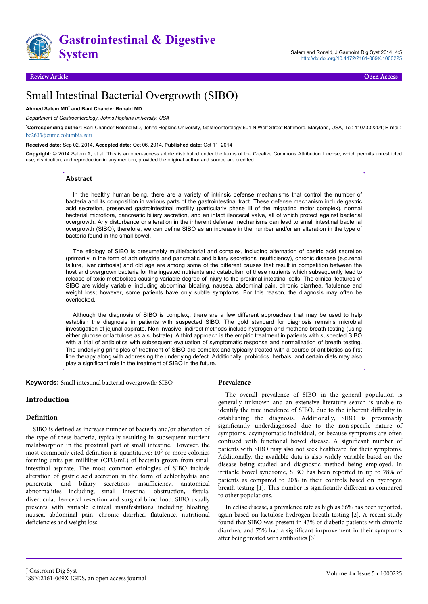

# Small Intestinal Bacterial Overgrowth (SIBO)

#### **Ahmed Salem MD**\*  **and Bani Chander Ronald MD**

#### *Department of Gastroenterology, Johns Hopkins university, USA*

\***Corresponding author:** Bani Chander Roland MD, Johns Hopkins University, Gastroenterology 601 N Wolf Street Baltimore, Maryland, USA, Tel: 4107332204; E-mail: [bc2633@cumc.columbia.edu](mailto:bc2633@cumc.columbia.edu)

#### **Received date:** Sep 02, 2014, **Accepted date:** Oct 06, 2014, **Published date:** Oct 11, 2014

**Copyright:** © 2014 Salem A, et al. This is an open-access article distributed under the terms of the Creative Commons Attribution License, which permits unrestricted use, distribution, and reproduction in any medium, provided the original author and source are credited.

# **Abstract**

In the healthy human being, there are a variety of intrinsic defense mechanisms that control the number of bacteria and its composition in various parts of the gastrointestinal tract. These defense mechanism include gastric acid secretion, preserved gastrointestinal motility (particularly phase III of the migrating motor complex), normal bacterial microflora, pancreatic biliary secretion, and an intact ileocecal valve, all of which protect against bacterial overgrowth. Any disturbance or alteration in the inherent defense mechanisms can lead to small intestinal bacterial overgrowth (SIBO); therefore, we can define SIBO as an increase in the number and/or an alteration in the type of bacteria found in the small bowel.

The etiology of SIBO is presumably multiefactorial and complex, including alternation of gastric acid secretion (primarily in the form of achlorhydria and pancreatic and biliary secretions insufficiency), chronic disease (e.g.renal failure, liver cirrhosis) and old age are among some of the different causes that result in competition between the host and overgrown bacteria for the ingested nutrients and catabolism of these nutrients which subsequently lead to release of toxic metabolites causing variable degree of injury to the proximal intestinal cells. The clinical features of SIBO are widely variable, including abdominal bloating, nausea, abdominal pain, chronic diarrhea, flatulence and weight loss; however, some patients have only subtle symptoms. For this reason, the diagnosis may often be overlooked.

Although the diagnosis of SIBO is complex;, there are a few different approaches that may be used to help establish the diagnosis in patients with suspected SIBO. The gold standard for diagnosis remains microbial investigation of jejunal aspirate. Non-invasive, indirect methods include hydrogen and methane breath testing (using either glucose or lactulose as a substrate). A third approach is the empiric treatment in patients with suspected SIBO with a trial of antibiotics with subsequent evaluation of symptomatic response and normalization of breath testing. The underlying principles of treatment of SIBO are complex and typically treated with a course of antibiotics as first line therapy along with addressing the underlying defect. Additionally, probiotics, herbals, and certain diets may also play a significant role in the treatment of SIBO in the future.

**Keywords:** Small intestinal bacterial overgrowth; SIBO

#### **Introduction**

## **Definition**

SIBO is defined as increase number of bacteria and/or alteration of the type of these bacteria, typically resulting in subsequent nutrient malabsorption in the proximal part of small intestine. However, the most commonly cited definition is quantitative: 10<sup>5</sup> or more colonies forming units per milliliter (CFU/mL) of bacteria grown from small intestinal aspirate. The most common etiologies of SIBO include alteration of gastric acid secretion in the form of achlorhydria and pancreatic and biliary secretions insufficiency, anatomical abnormalities including, small intestinal obstruction, fistula, diverticula, ileo-cecal resection and surgical blind loop. SIBO usually presents with variable clinical manifestations including bloating, nausea, abdominal pain, chronic diarrhea, flatulence, nutritional deficiencies and weight loss.

#### **Prevalence**

The overall prevalence of SIBO in the general population is generally unknown and an extensive literature search is unable to identify the true incidence of SIBO, due to the inherent difficulty in establishing the diagnosis. Additionally, SIBO is presumably significantly underdiagnosed due to the non-specific nature of symptoms, asymptomatic individual, or because symptoms are often confused with functional bowel disease. A significant number of patients with SIBO may also not seek healthcare, for their symptoms. Additionally, the available data is also widely variable based on the disease being studied and diagnostic method being employed. In irritable bowel syndrome, SIBO has been reported in up to 78% of patients as compared to 20% in their controls based on hydrogen breath testing [1]. This number is significantly different as compared to other populations.

In celiac disease, a prevalence rate as high as 66% has been reported, again based on lactulose hydrogen breath testing [2]. A recent study found that SIBO was present in 43% of diabetic patients with chronic diarrhea, and 75% had a significant improvement in their symptoms after being treated with antibiotics [3].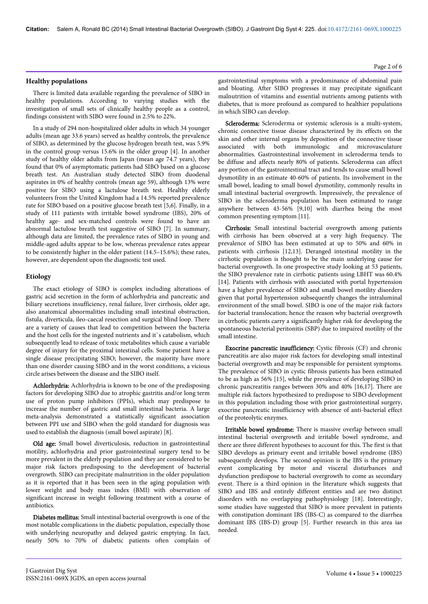# **Healthy populations**

There is limited data available regarding the prevalence of SIBO in healthy populations. According to varying studies with the investigation of small sets of clinically healthy people as a control, findings consistent with SIBO were found in 2.5% to 22%.

In a study of 294 non-hospitalized older adults in which 34 younger adults (mean age 33.6 years) served as healthy controls, the prevalence of SIBO, as determined by the glucose hydrogen breath test, was 5.9% in the control group versus 15.6% in the older group [4]. In another study of healthy older adults from Japan (mean age 74.7 years), they found that 0% of asymptomatic patients had SIBO based on a glucose breath test. An Australian study detected SIBO from duodenal aspirates in 0% of healthy controls (mean age 59), although 13% were positive for SIBO using a lactulose breath test. Healthy elderly volunteers from the United Kingdom had a 14.5% reported prevalence rate for SIBO based on a positive glucose breath test [5,6]. Finally, in a study of 111 patients with irritable bowel syndrome (IBS), 20% of healthy age- and sex-matched controls were found to have an abnormal lactulose breath test suggestive of SIBO [7]. In summary, although data are limited, the prevalence rates of SIBO in young and middle-aged adults appear to be low, whereas prevalence rates appear to be consistently higher in the older patient (14.5–15.6%); these rates, however, are dependent upon the diagnostic test used.

# **Etiology**

The exact etiology of SIBO is complex including alterations of gastric acid secretion in the form of achlorhydria and pancreatic and biliary secretions insufficiency, renal failure, liver cirrhosis, older age, also anatomical abnormalities including small intestinal obstruction, fistula, diverticula, ileo-caecal resection and surgical blind loop. There are a variety of causes that lead to competition between the bacteria and the host cells for the ingested nutrients and it`s catabolism, which subsequently lead to release of toxic metabolites which cause a variable degree of injury for the proximal intestinal cells. Some patient have a single disease precipitating SIBO; however, the majority have more than one disorder causing SIBO and in the worst conditions, a vicious circle arises between the disease and the SIBO itself.

Achlorhydria: Achlorhydria is known to be one of the predisposing factors for developing SIBO due to atrophic gastritis and/or long term use of proton pump inhibitors (PPIs), which may predispose to increase the number of gastric and small intestinal bacteria. A large meta-analysis demonstrated a statistically significant association between PPI use and SIBO when the gold standard for diagnosis was used to establish the diagnosis (small bowel aspirate) [8].

Old age: Small bowel diverticulosis, reduction in gastrointestinal motility, achlorhydria and prior gastrointestinal surgery tend to be more prevalent in the elderly population and they are considered to be major risk factors predisposing to the development of bacterial overgrowth. SIBO can precipitate malnutrition in the older population as it is reported that it has been seen in the aging population with lower weight and body mass index (BMI) with observation of significant increase in weight following treatment with a course of antibiotics.

Diabetes mellitus: Small intestinal bacterial overgrowth is one of the most notable complications in the diabetic population, especially those with underlying neuropathy and delayed gastric emptying. In fact, nearly 50% to 70% of diabetic patients often complain of Page 2 of 6

gastrointestinal symptoms with a predominance of abdominal pain and bloating. After SIBO progresses it may precipitate significant malnutrition of vitamins and essential nutrients among patients with diabetes, that is more profound as compared to healthier populations in which SIBO can develop.

Scleroderma: Scleroderma or systemic sclerosis is a multi-system, chronic connective tissue disease characterized by its effects on the skin and other internal organs by deposition of the connective tissue associated with both immunologic and microvasculature abnormalities. Gastrointestinal involvement in scleroderma tends to be diffuse and affects nearly 80% of patients. Scleroderma can affect any portion of the gastrointestinal tract and tends to cause small bowel dysmotility in an estimate 40-60% of patients. Its involvement in the small bowel, leading to small bowel dysmotility, commonly results in small intestinal bacterial overgrowth. Impressively, the prevalence of SIBO in the scleroderma population has been estimated to range anywhere between 43-56% [9,10] with diarrhea being the most common presenting symptom [11].

Cirrhosis: Small intestinal bacterial overgrowth among patients with cirrhosis has been observed at a very high frequency. The prevalence of SIBO has been estimated at up to 50% and 60% in patients with cirrhosis [12,13]. Deranged intestinal motility in the cirrhotic population is thought to be the main underlying cause for bacterial overgrowth. In one prospective study looking at 53 patients, the SIBO prevalence rate in cirrhotic patients using LBHT was 60.4% [14]. Patients with cirrhosis with associated with portal hypertension have a higher prevalence of SIBO and small bowel motility disorders given that portal hypertension subsequently changes the intraluminal environment of the small bowel. SIBO is one of the major risk factors for bacterial translocation; hence the reason why bacterial overgrowth in cirrhotic patients carry a significantly higher risk for developing the spontaneous bacterial peritonitis (SBP) due to impaired motility of the small intestine.

Exocrine pancreatic insufficiency: Cystic fibrosis (CF) and chronic pancreatitis are also major risk factors for developing small intestinal bacterial overgrowth and may be responsible for persistent symptoms. The prevalence of SIBO in cystic fibrosis patients has been estimated to be as high as 56% [15], while the prevalence of developing SIBO in chronic pancreatitis ranges between 30% and 40% [16,17]. There are multiple risk factors hypothesized to predispose to SIBO development in this population including those with prior gastrointestinal surgery, exocrine pancreatic insufficiency with absence of anti-bacterial effect of the proteolytic enzymes.

Irritable bowel syndrome: There is massive overlap between small intestinal bacterial overgrowth and irritable bowel syndrome, and there are three different hypotheses to account for this. The first is that SIBO develops as primary event and irritable bowel syndrome (IBS) subsequently develops. The second opinion is the IBS is the primary event complicating by motor and visceral disturbances and dysfunction predispose to bacterial overgrowth to come as secondary event. There is a third opinion in the literature which suggests that SIBO and IBS and entirely different entities and are two distinct disorders with no overlapping pathophysiology [18]. Interestingly, some studies have suggested that SIBO is more prevalent in patients with constipation dominant IBS (IBS-C) as compared to the diarrhea dominant IBS (IBS-D) group [5]. Further research in this area ias needed.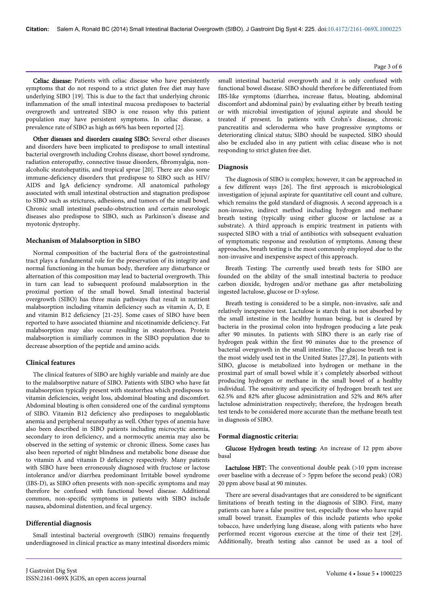Celiac disease: Patients with celiac disease who have persistently symptoms that do not respond to a strict gluten free diet may have underlying SIBO [19]. This is due to the fact that underlying chronic inflammation of the small intestinal mucosa predisposes to bacterial overgrowth and untreated SIBO is one reason why this patient population may have persistent symptoms. In celiac disease, a prevalence rate of SIBO as high as 66% has been reported [2].

Other diseases and disorders causing SIBO: Several other diseases and disorders have been implicated to predispose to small intestinal bacterial overgrowth including Crohns disease, short bowel syndrome, radiation enteropathy, connective tissue disorders, fibromyalgia, nonalcoholic steatohepatitis, and tropical sprue [20]. There are also some immune-deficiency disorders that predispose to SIBO such as HIV/ AIDS and IgA deficiency syndrome. All anatomical pathology associated with small intestinal obstruction and stagnation predispose to SIBO such as strictures, adhesions, and tumors of the small bowel. Chronic small intestinal pseudo-obstruction and certain neurologic diseases also predispose to SIBO, such as Parkinson's disease and myotonic dystrophy.

# **Mechanism of Malabsorption in SIBO**

Normal composition of the bacterial flora of the gastrointestinal tract plays a fundamental role for the preservation of its integrity and normal functioning in the human body, therefore any disturbance or alternation of this composition may lead to bacterial overgrowth. This in turn can lead to subsequent profound malabsorption in the proximal portion of the small bowel. Small intestinal bacterial overgrowth (SIBO) has three main pathways that result in nutrient malabsorption including vitamin deficiency such as vitamin A, D, E and vitamin B12 deficiency [21-25]. Some cases of SIBO have been reported to have associated thiamine and nicotinamide deficiency. Fat malabsorption may also occur resulting in steatorrhoea. Protein malabsorption is similiarly common in the SIBO population due to decrease absorption of the peptide and amino acids.

## **Clinical features**

The clinical features of SIBO are highly variable and mainly are due to the malabsorptive nature of SIBO. Patients with SIBO who have fat malabsorption typically present with steatorrhea which predisposes to vitamin deficiencies, weight loss, abdominal bloating and discomfort. Abdominal bloating is often considered one of the cardinal symptoms of SIBO. Vitamin B12 deficiency also predisposes to megaloblastic anemia and peripheral neuropathy as well. Other types of anemia have also been described in SIBO patients including microcytic anemia, secondary to iron deficiency, and a normocytic anemia may also be observed in the setting of systemic or chronic illness. Some cases has also been reported of night blindness and metabolic bone disease due to vitamin A and vitamin D deficiency respectively. Many patients with SIBO have been erroneously diagnosed with fructose or lactose intolerance and/or diarrhea predominant Irritable bowel syndrome (IBS-D), as SIBO often presents with non-specific symptoms and may therefore be confused with functional bowel disease. Additional common, non-specific symptoms in patients with SIBO include nausea, abdominal distention, and fecal urgency.

#### **Differential diagnosis**

Small intestinal bacterial overgrowth (SIBO) remains frequently underdiagnosed in clinical practice as many intestinal disorders mimic small intestinal bacterial overgrowth and it is only confused with functional bowel disease. SIBO should therefore be differentiated from IBS-like symptoms (diarrhea, increase flatus, bloating, abdominal discomfort and abdominal pain) by evaluating either by breath testing or with microbial investigation of jejunal aspirate and should be treated if present. In patients with Crohn's disease, chronic pancreatitis and scleroderma who have progressive symptoms or deteriorating clinical status; SIBO should be suspected. SIBO should also be excluded also in any patient with celiac disease who is not responding to strict gluten free diet.

# **Diagnosis**

The diagnosis of SIBO is complex; however, it can be approached in a few different ways [26]. The first approach is microbiological investigation of jejunal aspirate for quantitative cell count and culture, which remains the gold standard of diagnosis. A second approach is a non-invasive, indirect method including hydrogen and methane breath testing (typically using either glucose or lactulose as a substrate). A third approach is empiric treatment in patients with suspected SIBO with a trial of antibiotics with subsequent evaluation of symptomatic response and resolution of symptoms. Among these approaches, breath testing is the most commonly employed .due to the non-invasive and inexpensive aspect of this approach.

Breath Testing: The currently used breath tests for SIBO are founded on the ability of the small intestinal bacteria to produce carbon dioxide, hydrogen and/or methane gas after metabolizing ingested lactulose, glucose or D-xylose.

Breath testing is considered to be a simple, non-invasive, safe and relatively inexpensive test. Lactulose is starch that is not absorbed by the small intestine in the healthy human being, but is cleared by bacteria in the proximal colon into hydrogen producing a late peak after 90 minutes. In patients with SIBO there is an early rise of hydrogen peak within the first 90 minutes due to the presence of bacterial overgrowth in the small intestine. The glucose breath test is the most widely used test in the United States [27,28]. In patients with SIBO, glucose is metabolized into hydrogen or methane in the proximal part of small bowel while it`s completely absorbed without producing hydrogen or methane in the small bowel of a healthy individual. The sensitivity and specificity of hydrogen breath test are 62.5% and 82% after glucose administration and 52% and 86% after lactulose administration respectively; therefore, the hydrogen breath test tends to be considered more accurate than the methane breath test in diagnosis of SIBO.

#### **Formal diagnostic criteria:**

Glucose Hydrogen breath testing: An increase of 12 ppm above basal

Lactulose HBT: The conventional double peak (>10 ppm increase over baseline with a decrease of > 5ppm before the second peak) (OR) 20 ppm above basal at 90 minutes.

There are several disadvantages that are considered to be significant limitations of breath testing in the diagnosis of SIBO. First, many patients can have a false positive test, especially those who have rapid small bowel transit. Examples of this include patients who spoke tobacco, have underlying lung disease, along with patients who have performed recent vigorous exercise at the time of their test [29]. Additionally, breath testing also cannot be used as a tool of

#### Page 3 of 6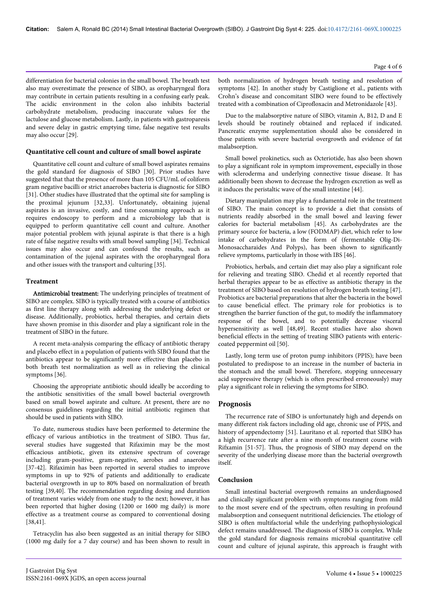differentiation for bacterial colonies in the small bowel. The breath test also may overestimate the presence of SIBO, as oropharyngeal flora may contribute in certain patients resulting in a confusing early peak. The acidic environment in the colon also inhibits bacterial carbohydrate metabolism, producing inaccurate values for the lactulose and glucose metabolism. Lastly, in patients with gastroparesis and severe delay in gastric emptying time, false negative test results may also occur [29].

#### **Quantitative cell count and culture of small bowel aspirate**

Quantitative cell count and culture of small bowel aspirates remains the gold standard for diagnosis of SIBO [30]. Prior studies have suggested that that the presence of more than 105 CFU/mL of coliform gram negative bacilli or strict anaerobes bacteria is diagnostic for SIBO [31]. Other studies have illustrated that the optimal site for sampling is the proximal jejunum [32,33]. Unfortunately, obtaining jujenal aspirates is an invasive, costly, and time consuming approach as it requires endoscopy to perform and a microbiology lab that is equipped to perform quantitative cell count and culture. Another major potential problem with jejunal aspirate is that there is a high rate of false negative results with small bowel sampling [34]. Technical issues may also occur and can confound the results, such as contamination of the jujenal aspirates with the oropharyngeal flora and other issues with the transport and culturing [35].

#### **Treatment**

Antimicrobial treatment: The underlying principles of treatment of SIBO are complex. SIBO is typically treated with a course of antibiotics as first line therapy along with addressing the underlying defect or disease. Additionally, probiotics, herbal therapies, and certain diets have shown promise in this disorder and play a significant role in the treatment of SIBO in the future.

A recent meta-analysis comparing the efficacy of antibiotic therapy and placebo effect in a population of patients with SIBO found that the antibiotics appear to be significantly more effective than placebo in both breath test normalization as well as in relieving the clinical symptoms [36].

Choosing the appropriate antibiotic should ideally be according to the antibiotic sensitivities of the small bowel bacterial overgrowth based on small bowel aspirate and culture. At present, there are no consensus guidelines regarding the initial antibiotic regimen that should be used in patients with SIBO.

To date, numerous studies have been performed to determine the efficacy of various antibiotics in the treatment of SIBO. Thus far, several studies have suggested that Rifaximin may be the most efficacious antibiotic, given its extensive spectrum of coverage including gram-positive, gram-negative, aerobes and anaerobes [37-42]. Rifaximin has been reported in several studies to improve symptoms in up to 92% of patients and additionally to eradicate bacterial overgrowth in up to 80% based on normalization of breath testing [39,40]. The recommendation regarding dosing and duration of treatment varies widely from one study to the next; however, it has been reported that higher dosing (1200 or 1600 mg daily) is more effective as a treatment course as compared to conventional dosing [38,41].

Tetracyclin has also been suggested as an initial therapy for SIBO (1000 mg daily for a 7 day course) and has been shown to result in

both normalization of hydrogen breath testing and resolution of symptoms [42]. In another study by Castiglione et al., patients with Crohn's disease and concomitant SIBO were found to be effectively treated with a combination of Ciprofloxacin and Metronidazole [43].

Due to the malabsorptive nature of SIBO; vitamin A, B12, D and E levels should be routinely obtained and replaced if indicated. Pancreatic enzyme supplementation should also be considered in those patients with severe bacterial overgrowth and evidence of fat malabsorption.

Small bowel prokinetics, such as Octeriotide, has also been shown to play a significant role in symptom improvement, especially in those with scleroderma and underlying connective tissue disease. It has additionally been shown to decrease the hydrogen excretion as well as it induces the peristaltic wave of the small intestine [44].

Dietary manipulation may play a fundamental role in the treatment of SIBO. The main concept is to provide a diet that consists of nutrients readily absorbed in the small bowel and leaving fewer calories for bacterial metabolism [45]. As carbohydrates are the primary source for bacteria, a low (FODMAP) diet, which refer to low intake of carbohydrates in the form of (fermentable Olig-Di-Monosaccharaides And Polyps), has been shown to significantly relieve symptoms, particularly in those with IBS [46].

Probiotics, herbals, and certain diet may also play a significant role for relieving and treating SIBO. Chedid et al recently reported that herbal therapies appear to be as effective as antibiotic therapy in the treatment of SIBO based on resolution of hydrogen breath testing [47]. Probiotics are bacterial preparations that alter the bacteria in the bowel to cause beneficial effect. The primary role for probiotics is to strengthen the barrier function of the gut, to modify the inflammatory response of the bowel, and to potentially decrease visceral hypersensitivity as well [48,49]. Recent studies have also shown beneficial effects in the setting of treating SIBO patients with entericcoated peppermint oil [50].

Lastly, long term use of proton pump inhibitors (PPIS); have been postulated to predispose to an increase in the number of bacteria in the stomach and the small bowel. Therefore, stopping unnecessary acid suppressive therapy (which is often prescribed erroneously) may play a significant role in relieving the symptoms for SIBO.

# **Prognosis**

The recurrence rate of SIBO is unfortunately high and depends on many different risk factors including old age, chronic use of PPIS, and history of appendectomy [51]. Lauritano et al. reported that SIBO has a high recurrence rate after a nine month of treatment course with Rifxamin [51-57]. Thus, the prognosis of SIBO may depend on the severity of the underlying disease more than the bacterial overgrowth itself.

## **Conclusion**

Small intestinal bacterial overgrowth remains an underdiagnosed and clinically significant problem with symptoms ranging from mild to the most severe end of the spectrum, often resulting in profound malabsorption and consequent nutritional deficiencies. The etiology of SIBO is often multifactorial while the underlying pathophysiological defect remains unaddressed. The diagnosis of SIBO is complex. While the gold standard for diagnosis remains microbial quantitative cell count and culture of jejunal aspirate, this approach is fraught with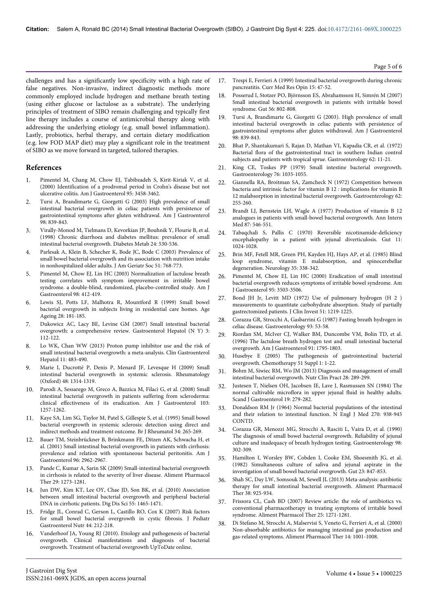challenges and has a significantly low specificity with a high rate of false negatives. Non-invasive, indirect diagnostic methods more commonly employed include hydrogen and methane breath testing (using either glucose or lactulose as a substrate). The underlying principles of treatment of SIBO remain challenging and typically first line therapy includes a course of antimicrobial therapy along with addressing the underlying etiology (e.g. small bowel inflammation). Lastly, probiotics, herbal therapy, and certain dietary modification (e.g. low FOD MAP diet) may play a significant role in the treatment of SIBO as we move forward in targeted, tailored therapies.

## **References**

- 1. [Pimentel M, Chang M, Chow EJ, Tabibzadeh S, Kirit-Kiriak V, et al.](http://www.ncbi.nlm.nih.gov/pubmed/11151877) [\(2000\) Identification of a prodromal period in Crohn's disease but not](http://www.ncbi.nlm.nih.gov/pubmed/11151877) [ulcerative colitis. Am J Gastroenterol 95: 3458-3462.](http://www.ncbi.nlm.nih.gov/pubmed/11151877)
- 2. [Tursi A, Brandimarte G, Giorgetti G \(2003\) High prevalence of small](http://www.ncbi.nlm.nih.gov/pubmed/12738465) [intestinal bacterial overgrowth in celiac patients with persistence of](http://www.ncbi.nlm.nih.gov/pubmed/12738465) [gastrointestinal symptoms after gluten withdrawal. Am J Gastroenterol](http://www.ncbi.nlm.nih.gov/pubmed/12738465) [98: 839-843.](http://www.ncbi.nlm.nih.gov/pubmed/12738465)
- 3. [Virally-Monod M, Tielmans D, Kevorkian JP, Bouhnik Y, Flourie B, et al.](http://www.ncbi.nlm.nih.gov/pubmed/9932220) [\(1998\) Chronic diarrhoea and diabetes mellitus: prevalence of small](http://www.ncbi.nlm.nih.gov/pubmed/9932220) [intestinal bacterial overgrowth. Diabetes Metab 24: 530-536.](http://www.ncbi.nlm.nih.gov/pubmed/9932220)
- 4. [Parlesak A, Klein B, Schecher K, Bode JC, Bode C \(2003\) Prevalence of](http://www.ncbi.nlm.nih.gov/pubmed/12757562) [small bowel bacterial overgrowth and its association with nutrition intake](http://www.ncbi.nlm.nih.gov/pubmed/12757562) [in nonhospitalized older adults. J Am Geriatr Soc 51: 768-773.](http://www.ncbi.nlm.nih.gov/pubmed/12757562)
- 5. [Pimentel M, Chow EJ, Lin HC \(2003\) Normalization of lactulose breath](http://www.ncbi.nlm.nih.gov/pubmed/12591062) [testing correlates with symptom improvement in irritable bowel](http://www.ncbi.nlm.nih.gov/pubmed/12591062) [syndrome. a double-blind, randomized, placebo-controlled study. Am J](http://www.ncbi.nlm.nih.gov/pubmed/12591062) [Gastroenterol 98: 412-419.](http://www.ncbi.nlm.nih.gov/pubmed/12591062)
- 6. [Lewis SJ, Potts LF, Malhotra R, Mountford R \(1999\) Small bowel](http://www.ncbi.nlm.nih.gov/pubmed/10350416) [bacterial overgrowth in subjects living in residential care homes. Age](http://www.ncbi.nlm.nih.gov/pubmed/10350416) [Ageing 28: 181-185.](http://www.ncbi.nlm.nih.gov/pubmed/10350416)
- 7. [Dukowicz AC, Lacy BE, Levine GM \(2007\) Small intestinal bacterial](http://www.ncbi.nlm.nih.gov/pubmed/21960820) [overgrowth: a comprehensive review. Gastroenterol Hepatol \(N Y\) 3:](http://www.ncbi.nlm.nih.gov/pubmed/21960820) [112-122.](http://www.ncbi.nlm.nih.gov/pubmed/21960820)
- 8. [Lo WK, Chan WW \(2013\) Proton pump inhibitor use and the risk of](http://www.ncbi.nlm.nih.gov/pubmed/23270866) [small intestinal bacterial overgrowth: a meta-analysis. Clin Gastroenterol](http://www.ncbi.nlm.nih.gov/pubmed/23270866) [Hepatol 11: 483-490.](http://www.ncbi.nlm.nih.gov/pubmed/23270866)
- 9. [Marie I, Ducrotté P, Denis P, Menard JF, Levesque H \(2009\) Small](http://www.ncbi.nlm.nih.gov/pubmed/19696066) [intestinal bacterial overgrowth in systemic sclerosis. Rheumatology](http://www.ncbi.nlm.nih.gov/pubmed/19696066) [\(Oxford\) 48: 1314-1319.](http://www.ncbi.nlm.nih.gov/pubmed/19696066)
- 10. [Parodi A, Sessarego M, Greco A, Bazzica M, Filaci G, et al. \(2008\) Small](http://www.ncbi.nlm.nih.gov/pubmed/18422815) [intestinal bacterial overgrowth in patients suffering from scleroderma:](http://www.ncbi.nlm.nih.gov/pubmed/18422815) [clinical effectiveness of its eradication. Am J Gastroenterol 103:](http://www.ncbi.nlm.nih.gov/pubmed/18422815) [1257-1262.](http://www.ncbi.nlm.nih.gov/pubmed/18422815)
- 11. [Kaye SA, Lim SG, Taylor M, Patel S, Gillespie S, et al. \(1995\) Small bowel](http://www.ncbi.nlm.nih.gov/pubmed/7728404) [bacterial overgrowth in systemic sclerosis: detection using direct and](http://www.ncbi.nlm.nih.gov/pubmed/7728404) [indirect methods and treatment outcome. Br J Rheumatol 34: 265-269.](http://www.ncbi.nlm.nih.gov/pubmed/7728404)
- 12. [Bauer TM, Steinbrückner B, Brinkmann FE, Ditzen AK, Schwacha H, et](http://www.ncbi.nlm.nih.gov/pubmed/11693333) [al. \(2001\) Small intestinal bacterial overgrowth in patients with cirrhosis:](http://www.ncbi.nlm.nih.gov/pubmed/11693333) [prevalence and relation with spontaneous bacterial peritonitis. Am J](http://www.ncbi.nlm.nih.gov/pubmed/11693333) [Gastroenterol 96: 2962-2967.](http://www.ncbi.nlm.nih.gov/pubmed/11693333)
- 13. [Pande C, Kumar A, Sarin SK \(2009\) Small-intestinal bacterial overgrowth](http://www.ncbi.nlm.nih.gov/pubmed/19302262) [in cirrhosis is related to the severity of liver disease. Aliment Pharmacol](http://www.ncbi.nlm.nih.gov/pubmed/19302262) [Ther 29: 1273-1281.](http://www.ncbi.nlm.nih.gov/pubmed/19302262)
- 14. [Jun DW, Kim KT, Lee OY, Chae JD, Son BK, et al. \(2010\) Association](http://www.ncbi.nlm.nih.gov/pubmed/19517230) [between small intestinal bacterial overgrowth and peripheral bacterial](http://www.ncbi.nlm.nih.gov/pubmed/19517230) [DNA in cirrhotic patients. Dig Dis Sci 55: 1465-1471.](http://www.ncbi.nlm.nih.gov/pubmed/19517230)
- 15. [Fridge JL, Conrad C, Gerson L, Castillo RO, Cox K \(2007\) Risk factors](http://www.ncbi.nlm.nih.gov/pubmed/17255834) [for small bowel bacterial overgrowth in cystic fibrosis. J Pediatr](http://www.ncbi.nlm.nih.gov/pubmed/17255834) [Gastroenterol Nutr 44: 212-218.](http://www.ncbi.nlm.nih.gov/pubmed/17255834)
- 16. Vanderhoof JA, Young RJ (2010). Etiology and pathogenesis of bacterial overgrowth. Clinical manifestations and diagnosis of bacterial overgrowth. Treatment of bacterial overgrowth UpToDate online.
- 17. [Trespi E, Ferrieri A \(1999\) Intestinal bacterial overgrowth during chronic](http://www.ncbi.nlm.nih.gov/pubmed/10216811) [pancreatitis. Curr Med Res Opin 15: 47-52.](http://www.ncbi.nlm.nih.gov/pubmed/10216811)
- 18. [Posserud I, Stotzer PO, Björnsson ES, Abrahamsson H, Simrén M \(2007\)](http://www.ncbi.nlm.nih.gov/pubmed/17148502) [Small intestinal bacterial overgrowth in patients with irritable bowel](http://www.ncbi.nlm.nih.gov/pubmed/17148502) [syndrome. Gut 56: 802-808.](http://www.ncbi.nlm.nih.gov/pubmed/17148502)
- 19. [Tursi A, Brandimarte G, Giorgetti G \(2003\). High prevalence of small](http://www.ncbi.nlm.nih.gov/pubmed/12738465) [intestinal bacterial overgrowth in celiac patients with persistence of](http://www.ncbi.nlm.nih.gov/pubmed/12738465) [gastrointestinal symptoms after gluten withdrawal. Am J Gastroenterol](http://www.ncbi.nlm.nih.gov/pubmed/12738465) [98: 839-843.](http://www.ncbi.nlm.nih.gov/pubmed/12738465)
- 20. [Bhat P, Shantakumari S, Rajan D, Mathan VI, Kapadia CR, et al. \(1972\)](http://www.ncbi.nlm.nih.gov/pubmed/4551005) [Bacterial flora of the gastrointestinal tract in southern Indian control](http://www.ncbi.nlm.nih.gov/pubmed/4551005) [subjects and patients with tropical sprue. Gastroenterology 62: 11-21.](http://www.ncbi.nlm.nih.gov/pubmed/4551005)
- 21. [King CE, Toskes PP \(1979\) Small intestine bacterial overgrowth.](http://www.ncbi.nlm.nih.gov/pubmed/437407) [Gastroenterology 76: 1035-1055.](http://www.ncbi.nlm.nih.gov/pubmed/437407)
- 22. [Giannella RA, Broitman SA, Zamcheck N \(1972\) Competition between](http://www.ncbi.nlm.nih.gov/pubmed/4629318) [bacteria and intrinsic factor for vitamin B 12 : implications for vitamin B](http://www.ncbi.nlm.nih.gov/pubmed/4629318) [12 malabsorption in intestinal bacterial overgrowth. Gastroenterology 62:](http://www.ncbi.nlm.nih.gov/pubmed/4629318) [255-260.](http://www.ncbi.nlm.nih.gov/pubmed/4629318)
- 23. [Brandt LJ, Bernstein LH, Wagle A \(1977\) Production of vitamin B 12](http://www.ncbi.nlm.nih.gov/pubmed/921081) [analogues in patients with small-bowel bacterial overgrowth. Ann Intern](http://www.ncbi.nlm.nih.gov/pubmed/921081) [Med 87: 546-551.](http://www.ncbi.nlm.nih.gov/pubmed/921081)
- 24. [Tabaqchali S, Pallis C \(1970\) Reversible nicotinamide-deficiency](http://www.ncbi.nlm.nih.gov/pubmed/4252216) [encephalopathy in a patient with jejunal diverticulosis. Gut 11:](http://www.ncbi.nlm.nih.gov/pubmed/4252216) [1024-1028.](http://www.ncbi.nlm.nih.gov/pubmed/4252216)
- 25. [Brin MF, Fetell MR, Green PH, Kayden HJ, Hays AP, et al. \(1985\) Blind](http://www.ncbi.nlm.nih.gov/pubmed/3974892) [loop syndrome, vitamin E malabsorption, and spinocerebellar](http://www.ncbi.nlm.nih.gov/pubmed/3974892) [degeneration. Neurology 35: 338-342.](http://www.ncbi.nlm.nih.gov/pubmed/3974892)
- 26. [Pimentel M, Chow EJ, Lin HC \(2000\) Eradication of small intestinal](http://www.ncbi.nlm.nih.gov/pubmed/11151884) [bacterial overgrowth reduces symptoms of irritable bowel syndrome. Am](http://www.ncbi.nlm.nih.gov/pubmed/11151884) [J Gastroenterol 95: 3503-3506.](http://www.ncbi.nlm.nih.gov/pubmed/11151884)
- 27. [Bond JH Jr, Levitt MD \(1972\) Use of pulmonary hydrogen \(H 2 \)](http://www.ncbi.nlm.nih.gov/pubmed/5020434) [measurements to quantitate carbohydrate absorption. Study of partially](http://www.ncbi.nlm.nih.gov/pubmed/5020434) [gastrectomized patients. J Clin Invest 51: 1219-1225.](http://www.ncbi.nlm.nih.gov/pubmed/5020434)
- 28. [Corazza GR, Strocchi A, Gasbarrini G \(1987\) Fasting breath hydrogen in](http://www.ncbi.nlm.nih.gov/pubmed/3582915) [celiac disease. Gastroenterology 93: 53-58.](http://www.ncbi.nlm.nih.gov/pubmed/3582915)
- 29. [Riordan SM, McIver CJ, Walker BM, Duncombe VM, Bolin TD, et al.](http://www.ncbi.nlm.nih.gov/pubmed/8792701) [\(1996\) The lactulose breath hydrogen test and small intestinal bacterial](http://www.ncbi.nlm.nih.gov/pubmed/8792701) [overgrowth. Am J Gastroenterol 91: 1795-1803.](http://www.ncbi.nlm.nih.gov/pubmed/8792701)
- 30. [Husebye E \(2005\) The pathogenesis of gastrointestinal bacterial](http://www.ncbi.nlm.nih.gov/pubmed/15855746) [overgrowth. Chemotherapy 51 Suppl 1: 1-22.](http://www.ncbi.nlm.nih.gov/pubmed/15855746)
- 31. [Bohm M, Siwiec RM, Wo JM \(2013\) Diagnosis and management of small](http://www.ncbi.nlm.nih.gov/pubmed/23614961) [intestinal bacterial overgrowth. Nutr Clin Pract 28: 289-299.](http://www.ncbi.nlm.nih.gov/pubmed/23614961)
- 32. [Justesen T, Nielsen OH, Jacobsen IE, Lave J, Rasmussen SN \(1984\) The](http://www.ncbi.nlm.nih.gov/pubmed/6372075) [normal cultivable microflora in upper jejunal fluid in healthy adults.](http://www.ncbi.nlm.nih.gov/pubmed/6372075) [Scand J Gastroenterol 19: 279-282.](http://www.ncbi.nlm.nih.gov/pubmed/6372075)
- 33. [Donaldson RM Jr \(1964\) Normal bacterial populations of the intestinal](http://www.ncbi.nlm.nih.gov/pubmed/14114115) [and their relation to intestinal function. N Engl J Med 270: 938-945](http://www.ncbi.nlm.nih.gov/pubmed/14114115) [CONTD.](http://www.ncbi.nlm.nih.gov/pubmed/14114115)
- 34. [Corazza GR, Menozzi MG, Strocchi A, Rasciti L, Vaira D, et al. \(1990\)](http://www.ncbi.nlm.nih.gov/pubmed/2295385) [The diagnosis of small bowel bacterial overgrowth. Reliability of jejunal](http://www.ncbi.nlm.nih.gov/pubmed/2295385) [culture and inadequacy of breath hydrogen testing. Gastroenterology 98:](http://www.ncbi.nlm.nih.gov/pubmed/2295385) [302-309.](http://www.ncbi.nlm.nih.gov/pubmed/2295385)
- 35. [Hamilton I, Worsley BW, Cobden I, Cooke EM, Shoesmith JG, et al.](http://www.ncbi.nlm.nih.gov/pubmed/6749605) [\(1982\) Simultaneous culture of saliva and jejunal aspirate in the](http://www.ncbi.nlm.nih.gov/pubmed/6749605) [investigation of small bowel bacterial overgrowth. Gut 23: 847-853.](http://www.ncbi.nlm.nih.gov/pubmed/6749605)
- 36. [Shah SC, Day LW, Somsouk M, Sewell JL \(2013\) Meta-analysis: antibiotic](http://www.ncbi.nlm.nih.gov/pubmed/24004101) [therapy for small intestinal bacterial overgrowth. Aliment Pharmacol](http://www.ncbi.nlm.nih.gov/pubmed/24004101) [Ther 38: 925-934.](http://www.ncbi.nlm.nih.gov/pubmed/24004101)
- 37. [Frissora CL, Cash BD \(2007\) Review article: the role of antibiotics vs.](http://www.ncbi.nlm.nih.gov/pubmed/17509095) [conventional pharmacotherapy in treating symptoms of irritable bowel](http://www.ncbi.nlm.nih.gov/pubmed/17509095) [syndrome. Aliment Pharmacol Ther 25: 1271-1281.](http://www.ncbi.nlm.nih.gov/pubmed/17509095)
- 38. [Di Stefano M, Strocchi A, Malservisi S, Veneto G, Ferrieri A, et al. \(2000\)](http://www.ncbi.nlm.nih.gov/pubmed/10930893) [Non-absorbable antibiotics for managing intestinal gas production and](http://www.ncbi.nlm.nih.gov/pubmed/10930893) [gas-related symptoms. Aliment Pharmacol Ther 14: 1001-1008.](http://www.ncbi.nlm.nih.gov/pubmed/10930893)